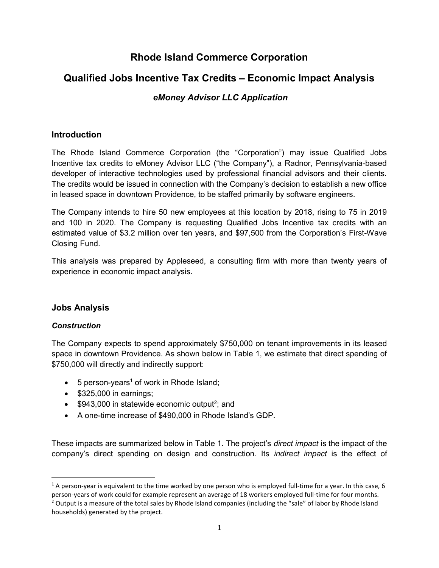# Rhode Island Commerce Corporation

# Qualified Jobs Incentive Tax Credits – Economic Impact Analysis

# eMoney Advisor LLC Application

# **Introduction**

The Rhode Island Commerce Corporation (the "Corporation") may issue Qualified Jobs Incentive tax credits to eMoney Advisor LLC ("the Company"), a Radnor, Pennsylvania-based developer of interactive technologies used by professional financial advisors and their clients. The credits would be issued in connection with the Company's decision to establish a new office in leased space in downtown Providence, to be staffed primarily by software engineers.

The Company intends to hire 50 new employees at this location by 2018, rising to 75 in 2019 and 100 in 2020. The Company is requesting Qualified Jobs Incentive tax credits with an estimated value of \$3.2 million over ten years, and \$97,500 from the Corporation's First-Wave Closing Fund.

This analysis was prepared by Appleseed, a consulting firm with more than twenty years of experience in economic impact analysis.

# Jobs Analysis

#### **Construction**

The Company expects to spend approximately \$750,000 on tenant improvements in its leased space in downtown Providence. As shown below in Table 1, we estimate that direct spending of \$750,000 will directly and indirectly support:

- 5 person-years<sup>1</sup> of work in Rhode Island;
- $\bullet$  \$325,000 in earnings;
- $$943,000$  in statewide economic output<sup>2</sup>; and
- A one-time increase of \$490,000 in Rhode Island's GDP.

These impacts are summarized below in Table 1. The project's *direct impact* is the impact of the company's direct spending on design and construction. Its indirect impact is the effect of

<sup>&</sup>lt;sup>1</sup> A person-year is equivalent to the time worked by one person who is employed full-time for a year. In this case, 6 person-years of work could for example represent an average of 18 workers employed full-time for four months.

<sup>&</sup>lt;sup>2</sup> Output is a measure of the total sales by Rhode Island companies (including the "sale" of labor by Rhode Island households) generated by the project.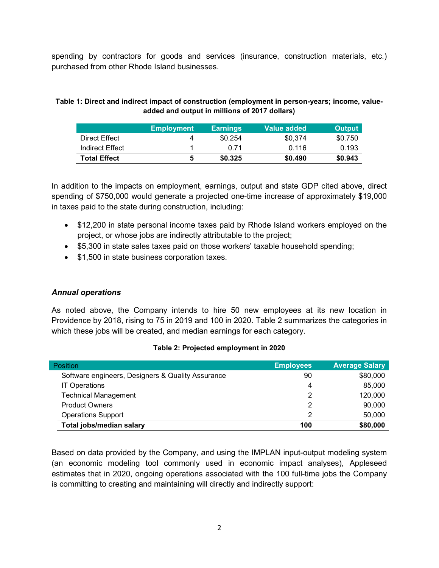spending by contractors for goods and services (insurance, construction materials, etc.) purchased from other Rhode Island businesses.

#### Table 1: Direct and indirect impact of construction (employment in person-years; income, valueadded and output in millions of 2017 dollars)

|                     | <b>Employment</b> | <b>Earnings</b> | Value added | <b>Output</b> |
|---------------------|-------------------|-----------------|-------------|---------------|
| Direct Effect       | Δ                 | \$0.254         | \$0.374     | \$0.750       |
| Indirect Effect     |                   | O 71            | 0.116       | 0.193         |
| <b>Total Effect</b> | 5                 | \$0.325         | \$0.490     | \$0.943       |

In addition to the impacts on employment, earnings, output and state GDP cited above, direct spending of \$750,000 would generate a projected one-time increase of approximately \$19,000 in taxes paid to the state during construction, including:

- \$12,200 in state personal income taxes paid by Rhode Island workers employed on the project, or whose jobs are indirectly attributable to the project;
- \$5,300 in state sales taxes paid on those workers' taxable household spending;
- \$1,500 in state business corporation taxes.

#### Annual operations

As noted above, the Company intends to hire 50 new employees at its new location in Providence by 2018, rising to 75 in 2019 and 100 in 2020. Table 2 summarizes the categories in which these jobs will be created, and median earnings for each category.

| <b>Position</b>                                   | <b>Employees</b> | <b>Average Salary</b> |
|---------------------------------------------------|------------------|-----------------------|
| Software engineers, Designers & Quality Assurance | 90               | \$80,000              |
| <b>IT Operations</b>                              |                  | 85,000                |
| <b>Technical Management</b>                       |                  | 120,000               |
| <b>Product Owners</b>                             | 2                | 90,000                |
| <b>Operations Support</b>                         | っ                | 50,000                |
| Total jobs/median salary                          | 100              | \$80,000              |

#### Table 2: Projected employment in 2020

Based on data provided by the Company, and using the IMPLAN input-output modeling system (an economic modeling tool commonly used in economic impact analyses), Appleseed estimates that in 2020, ongoing operations associated with the 100 full-time jobs the Company is committing to creating and maintaining will directly and indirectly support: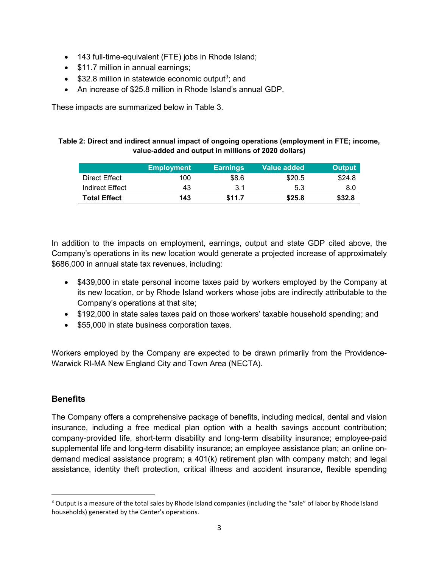- 143 full-time-equivalent (FTE) jobs in Rhode Island;
- \$11.7 million in annual earnings;
- $$32.8$  million in statewide economic output<sup>3</sup>; and
- An increase of \$25.8 million in Rhode Island's annual GDP.

These impacts are summarized below in Table 3.

#### Table 2: Direct and indirect annual impact of ongoing operations (employment in FTE; income, value-added and output in millions of 2020 dollars)

|                 | <b>Employment</b> | <b>Earnings</b> | Value added | <b>Output</b> |
|-----------------|-------------------|-----------------|-------------|---------------|
| Direct Effect   | 100               | \$8.6           | \$20.5      | \$24.8        |
| Indirect Effect | 43                | 3.1             | 5.3         | 8.0           |
| Total Effect    | 143               | \$11.7          | \$25.8      | \$32.8        |

In addition to the impacts on employment, earnings, output and state GDP cited above, the Company's operations in its new location would generate a projected increase of approximately \$686,000 in annual state tax revenues, including:

- \$439,000 in state personal income taxes paid by workers employed by the Company at its new location, or by Rhode Island workers whose jobs are indirectly attributable to the Company's operations at that site;
- \$192,000 in state sales taxes paid on those workers' taxable household spending; and
- \$55,000 in state business corporation taxes.

Workers employed by the Company are expected to be drawn primarily from the Providence-Warwick RI-MA New England City and Town Area (NECTA).

# **Benefits**

 $\overline{a}$ 

The Company offers a comprehensive package of benefits, including medical, dental and vision insurance, including a free medical plan option with a health savings account contribution; company-provided life, short-term disability and long-term disability insurance; employee-paid supplemental life and long-term disability insurance; an employee assistance plan; an online ondemand medical assistance program; a 401(k) retirement plan with company match; and legal assistance, identity theft protection, critical illness and accident insurance, flexible spending

<sup>&</sup>lt;sup>3</sup> Output is a measure of the total sales by Rhode Island companies (including the "sale" of labor by Rhode Island households) generated by the Center's operations.